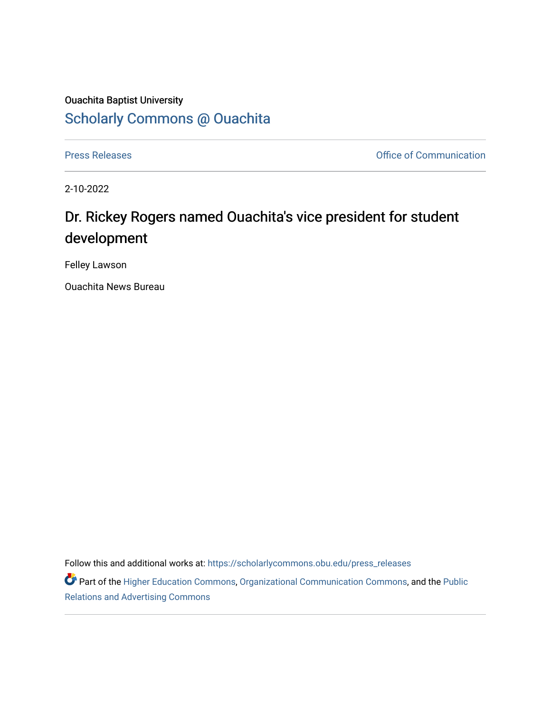## Ouachita Baptist University [Scholarly Commons @ Ouachita](https://scholarlycommons.obu.edu/)

[Press Releases](https://scholarlycommons.obu.edu/press_releases) **Press Releases Communication** 

2-10-2022

## Dr. Rickey Rogers named Ouachita's vice president for student development

Felley Lawson

Ouachita News Bureau

Follow this and additional works at: [https://scholarlycommons.obu.edu/press\\_releases](https://scholarlycommons.obu.edu/press_releases?utm_source=scholarlycommons.obu.edu%2Fpress_releases%2F1048&utm_medium=PDF&utm_campaign=PDFCoverPages)

Part of the [Higher Education Commons,](http://network.bepress.com/hgg/discipline/1245?utm_source=scholarlycommons.obu.edu%2Fpress_releases%2F1048&utm_medium=PDF&utm_campaign=PDFCoverPages) [Organizational Communication Commons,](http://network.bepress.com/hgg/discipline/335?utm_source=scholarlycommons.obu.edu%2Fpress_releases%2F1048&utm_medium=PDF&utm_campaign=PDFCoverPages) and the [Public](http://network.bepress.com/hgg/discipline/336?utm_source=scholarlycommons.obu.edu%2Fpress_releases%2F1048&utm_medium=PDF&utm_campaign=PDFCoverPages) [Relations and Advertising Commons](http://network.bepress.com/hgg/discipline/336?utm_source=scholarlycommons.obu.edu%2Fpress_releases%2F1048&utm_medium=PDF&utm_campaign=PDFCoverPages)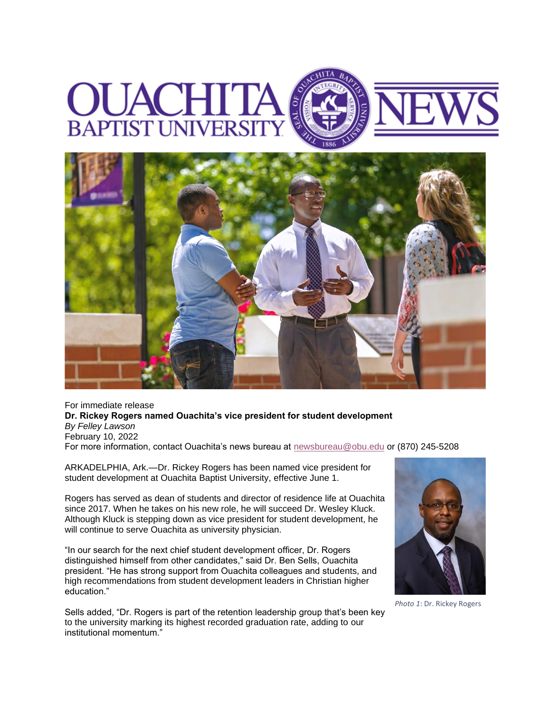## **BAPTIST UNIVERSI**



For immediate release **Dr. Rickey Rogers named Ouachita's vice president for student development** *By Felley Lawson* February 10, 2022 For more information, contact Ouachita's news bureau at [newsbureau@obu.edu](mailto:newsbureau@obu.edu) or (870) 245-5208

ARKADELPHIA, Ark.—Dr. Rickey Rogers has been named vice president for student development at Ouachita Baptist University, effective June 1.

Rogers has served as dean of students and director of residence life at Ouachita since 2017. When he takes on his new role, he will succeed Dr. Wesley Kluck. Although Kluck is stepping down as vice president for student development, he will continue to serve Ouachita as university physician.

"In our search for the next chief student development officer, Dr. Rogers distinguished himself from other candidates," said Dr. Ben Sells, Ouachita president. "He has strong support from Ouachita colleagues and students, and high recommendations from student development leaders in Christian higher education."

Sells added, "Dr. Rogers is part of the retention leadership group that's been key to the university marking its highest recorded graduation rate, adding to our institutional momentum."



*Photo 1*: Dr. Rickey Rogers